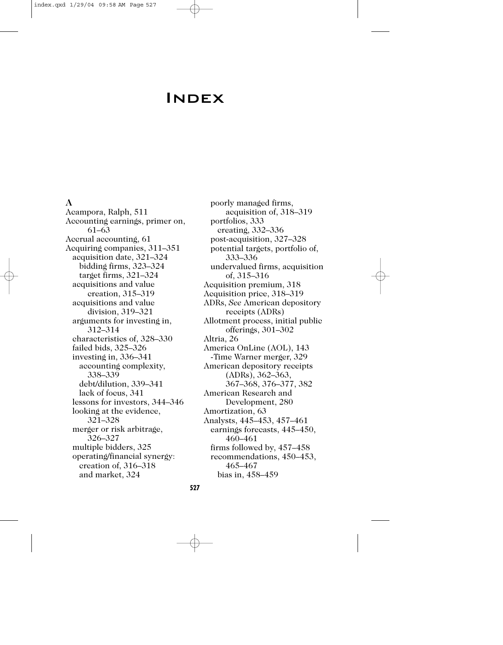# **INDEX**

### **A**

Acampora, Ralph, 511 Accounting earnings, primer on, 61–63 Accrual accounting, 61 Acquiring companies, 311–351 acquisition date, 321–324 bidding firms, 323–324 target firms, 321–324 acquisitions and value creation, 315–319 acquisitions and value division, 319–321 arguments for investing in, 312–314 characteristics of, 328–330 failed bids, 325–326 investing in, 336–341 accounting complexity, 338–339 debt/dilution, 339–341 lack of focus, 341 lessons for investors, 344–346 looking at the evidence, 321–328 merger or risk arbitrage, 326–327 multiple bidders, 325 operating/financial synergy: creation of, 316–318 and market, 324

poorly managed firms, acquisition of, 318–319 portfolios, 333 creating, 332–336 post-acquisition, 327–328 potential targets, portfolio of, 333–336 undervalued firms, acquisition of, 315–316 Acquisition premium, 318 Acquisition price, 318–319 ADRs, *See* American depository receipts (ADRs) Allotment process, initial public offerings, 301–302 Altria, 26 America OnLine (AOL), 143 -Time Warner merger, 329 American depository receipts (ADRs), 362–363, 367–368, 376–377, 382 American Research and Development, 280 Amortization, 63 Analysts, 445–453, 457–461 earnings forecasts, 445–450, 460–461 firms followed by, 457–458 recommendations, 450–453, 465–467 bias in, 458–459

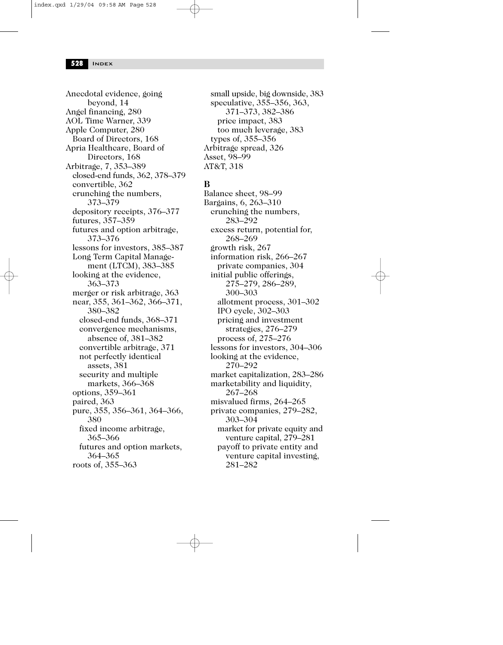Anecdotal evidence, going beyond, 14 Angel financing, 280 AOL Time Warner, 339 Apple Computer, 280 Board of Directors, 168 Apria Healthcare, Board of Directors, 168 Arbitrage, 7, 353–389 closed-end funds, 362, 378–379 convertible, 362 crunching the numbers, 373–379 depository receipts, 376–377 futures, 357–359 futures and option arbitrage, 373–376 lessons for investors, 385–387 Long Term Capital Management (LTCM), 383–385 looking at the evidence, 363–373 merger or risk arbitrage, 363 near, 355, 361–362, 366–371, 380–382 closed-end funds, 368–371 convergence mechanisms, absence of, 381–382 convertible arbitrage, 371 not perfectly identical assets, 381 security and multiple markets, 366–368 options, 359–361 paired, 363 pure, 355, 356–361, 364–366, 380 fixed income arbitrage, 365–366 futures and option markets, 364–365 roots of, 355–363

small upside, big downside, 383 speculative, 355–356, 363, 371–373, 382–386 price impact, 383 too much leverage, 383 types of, 355–356 Arbitrage spread, 326 Asset, 98–99 AT&T, 318

# **B**

Balance sheet, 98–99 Bargains, 6, 263–310 crunching the numbers, 283–292 excess return, potential for, 268–269 growth risk, 267 information risk, 266–267 private companies, 304 initial public offerings, 275–279, 286–289, 300–303 allotment process, 301–302 IPO cycle, 302–303 pricing and investment strategies, 276–279 process of, 275–276 lessons for investors, 304–306 looking at the evidence, 270–292 market capitalization, 283–286 marketability and liquidity, 267–268 misvalued firms, 264–265 private companies, 279–282, 303–304 market for private equity and venture capital, 279–281 payoff to private entity and venture capital investing, 281–282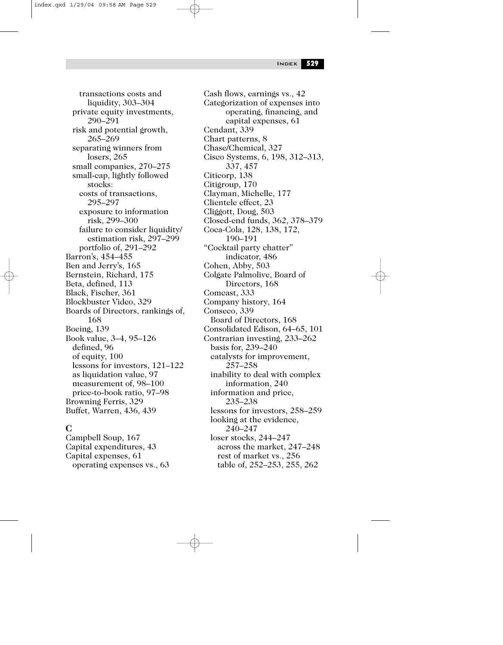index.qxd 1/29/04 09:58 AM Page 529

Index **529**

transactions costs and liquidity, 303–304 private equity investments, 290–291 risk and potential growth, 265–269 separating winners from losers, 265 small companies, 270–275 small-cap, lightly followed stocks: costs of transactions, 295–297 exposure to information risk, 299–300 failure to consider liquidity/ estimation risk, 297–299 portfolio of, 291–292 Barron's, 454–455 Ben and Jerry's, 165 Bernstein, Richard, 175 Beta, defined, 113 Black, Fischer, 361 Blockbuster Video, 329 Boards of Directors, rankings of, 168 Boeing, 139 Book value, 3–4, 95–126 defined, 96 of equity, 100 lessons for investors, 121–122 as liquidation value, 97 measurement of, 98–100 price-to-book ratio, 97–98 Browning Ferris, 329 Buffet, Warren, 436, 439

## **C**

Campbell Soup, 167 Capital expenditures, 43 Capital expenses, 61 operating expenses vs., 63 Cash flows, earnings vs., 42 Categorization of expenses into operating, financing, and capital expenses, 61 Cendant, 339 Chart patterns, 8 Chase/Chemical, 327 Cisco Systems, 6, 198, 312–313, 337, 457 Citicorp, 138 Citigroup, 170 Clayman, Michelle, 177 Clientele effect, 23 Cliggott, Doug, 503 Closed-end funds, 362, 378–379 Coca-Cola, 128, 138, 172, 190–191 "Cocktail party chatter" indicator, 486 Cohen, Abby, 503 Colgate Palmolive, Board of Directors, 168 Comcast, 333 Company history, 164 Conseco, 339 Board of Directors, 168 Consolidated Edison, 64–65, 101 Contrarian investing, 233–262 basis for, 239–240 catalysts for improvement, 257–258 inability to deal with complex information, 240 information and price, 235–238 lessons for investors, 258–259 looking at the evidence, 240–247 loser stocks, 244–247 across the market, 247–248 rest of market vs., 256 table of, 252–253, 255, 262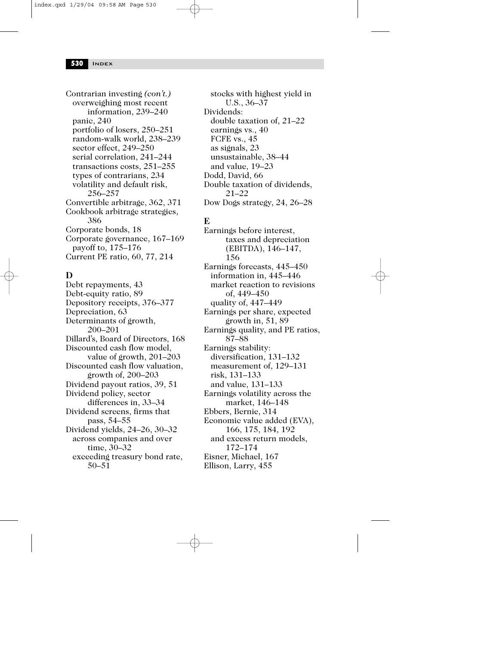Contrarian investing *(con't.)* overweighing most recent information, 239–240 panic, 240 portfolio of losers, 250–251 random-walk world, 238–239 sector effect, 249–250 serial correlation, 241–244 transactions costs, 251–255 types of contrarians, 234 volatility and default risk, 256–257 Convertible arbitrage, 362, 371 Cookbook arbitrage strategies, 386 Corporate bonds, 18 Corporate governance, 167–169 payoff to, 175–176 Current PE ratio, 60, 77, 214

### **D**

Debt repayments, 43 Debt-equity ratio, 89 Depository receipts, 376–377 Depreciation, 63 Determinants of growth, 200–201 Dillard's, Board of Directors, 168 Discounted cash flow model, value of growth, 201–203 Discounted cash flow valuation, growth of, 200–203 Dividend payout ratios, 39, 51 Dividend policy, sector differences in, 33–34 Dividend screens, firms that pass, 54–55 Dividend yields, 24–26, 30–32 across companies and over time, 30–32 exceeding treasury bond rate, 50–51

stocks with highest yield in U.S., 36–37 Dividends: double taxation of, 21–22 earnings vs., 40 FCFE vs., 45 as signals, 23 unsustainable, 38–44 and value, 19–23 Dodd, David, 66 Double taxation of dividends, 21–22 Dow Dogs strategy, 24, 26–28

# **E**

Earnings before interest, taxes and depreciation (EBITDA), 146–147, 156 Earnings forecasts, 445–450 information in, 445–446 market reaction to revisions of, 449–450 quality of, 447–449 Earnings per share, expected growth in, 51, 89 Earnings quality, and PE ratios, 87–88 Earnings stability: diversification, 131–132 measurement of, 129–131 risk, 131–133 and value, 131–133 Earnings volatility across the market, 146–148 Ebbers, Bernie, 314 Economic value added (EVA), 166, 175, 184, 192 and excess return models, 172–174 Eisner, Michael, 167 Ellison, Larry, 455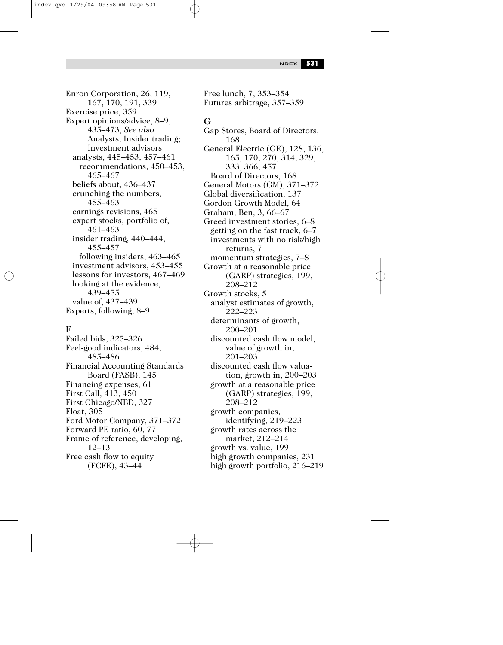index.qxd 1/29/04 09:58 AM Page 531

Enron Corporation, 26, 119, 167, 170, 191, 339 Exercise price, 359 Expert opinions/advice, 8–9, 435–473, *See also* Analysts; Insider trading; Investment advisors analysts, 445–453, 457–461 recommendations, 450–453, 465–467 beliefs about, 436–437 crunching the numbers, 455–463 earnings revisions, 465 expert stocks, portfolio of, 461–463 insider trading, 440–444, 455–457 following insiders, 463–465 investment advisors, 453–455 lessons for investors, 467–469 looking at the evidence, 439–455 value of, 437–439 Experts, following, 8–9

#### **F**

Failed bids, 325–326 Feel-good indicators, 484, 485–486 Financial Accounting Standards Board (FASB), 145 Financing expenses, 61 First Call, 413, 450 First Chicago/NBD, 327 Float, 305 Ford Motor Company, 371–372 Forward PE ratio, 60, 77 Frame of reference, developing, 12–13 Free cash flow to equity (FCFE), 43–44

Free lunch, 7, 353–354 Futures arbitrage, 357–359

#### **G**

Gap Stores, Board of Directors, 168 General Electric (GE), 128, 136, 165, 170, 270, 314, 329, 333, 366, 457 Board of Directors, 168 General Motors (GM), 371–372 Global diversification, 137 Gordon Growth Model, 64 Graham, Ben, 3, 66–67 Greed investment stories, 6–8 getting on the fast track, 6–7 investments with no risk/high returns, 7 momentum strategies, 7–8 Growth at a reasonable price (GARP) strategies, 199, 208–212 Growth stocks, 5 analyst estimates of growth, 222–223 determinants of growth, 200–201 discounted cash flow model, value of growth in, 201–203 discounted cash flow valuation, growth in, 200–203 growth at a reasonable price (GARP) strategies, 199, 208–212 growth companies, identifying, 219–223 growth rates across the market, 212–214 growth vs. value, 199 high growth companies, 231 high growth portfolio, 216–219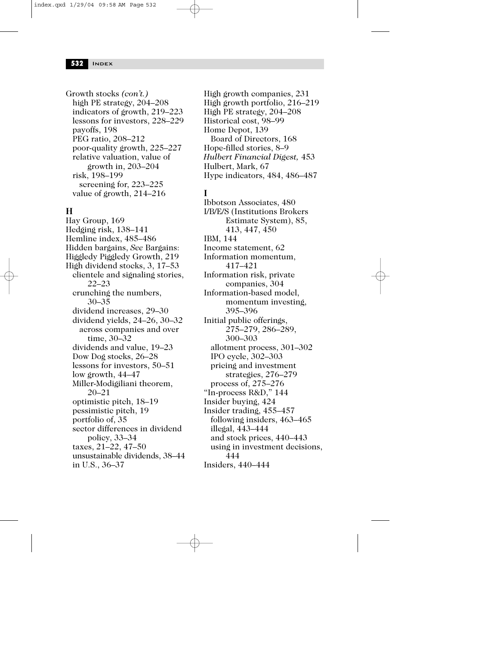Growth stocks *(con't.)* high PE strategy, 204–208 indicators of growth, 219–223 lessons for investors, 228–229 payoffs, 198 PEG ratio, 208–212 poor-quality growth, 225–227 relative valuation, value of growth in, 203–204 risk, 198–199 screening for, 223–225 value of growth, 214–216

# **H**

Hay Group, 169 Hedging risk, 138–141 Hemline index, 485–486 Hidden bargains, *See* Bargains: Higgledy Piggledy Growth, 219 High dividend stocks, 3, 17–53 clientele and signaling stories, 22–23 crunching the numbers, 30–35 dividend increases, 29–30 dividend yields, 24–26, 30–32 across companies and over time, 30–32 dividends and value, 19–23 Dow Dog stocks, 26–28 lessons for investors, 50–51 low growth, 44–47 Miller-Modigiliani theorem, 20–21 optimistic pitch, 18–19 pessimistic pitch, 19 portfolio of, 35 sector differences in dividend policy, 33–34 taxes, 21–22, 47–50 unsustainable dividends, 38–44 in U.S., 36–37

High growth companies, 231 High growth portfolio, 216–219 High PE strategy, 204–208 Historical cost, 98–99 Home Depot, 139 Board of Directors, 168 Hope-filled stories, 8–9 *Hulbert Financial Digest,* 453 Hulbert, Mark, 67 Hype indicators, 484, 486–487

### **I**

Ibbotson Associates, 480 I/B/E/S (Institutions Brokers Estimate System), 85, 413, 447, 450 IBM, 144 Income statement, 62 Information momentum, 417–421 Information risk, private companies, 304 Information-based model, momentum investing, 395–396 Initial public offerings, 275–279, 286–289, 300–303 allotment process, 301–302 IPO cycle, 302–303 pricing and investment strategies, 276–279 process of, 275–276 "In-process R&D," 144 Insider buying, 424 Insider trading, 455–457 following insiders, 463–465 illegal, 443–444 and stock prices, 440–443 using in investment decisions, 444 Insiders, 440–444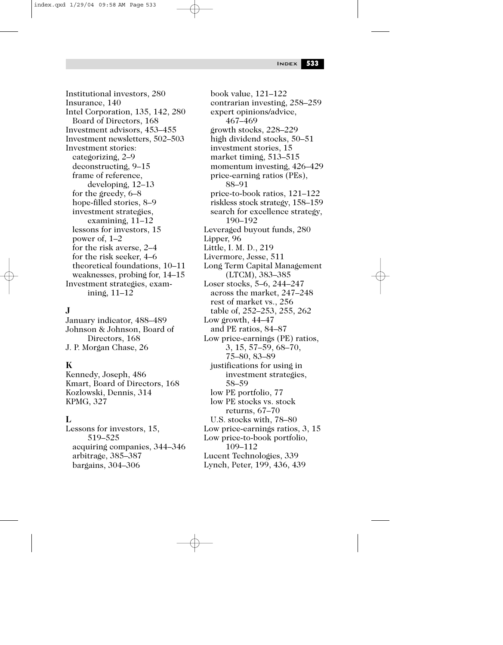Institutional investors, 280 Insurance, 140 Intel Corporation, 135, 142, 280 Board of Directors, 168 Investment advisors, 453–455 Investment newsletters, 502–503 Investment stories: categorizing, 2–9 deconstructing, 9–15 frame of reference, developing, 12–13 for the greedy, 6–8 hope-filled stories, 8–9 investment strategies, examining, 11–12 lessons for investors, 15 power of, 1–2 for the risk averse, 2–4 for the risk seeker, 4–6 theoretical foundations, 10–11 weaknesses, probing for, 14–15 Investment strategies, examining, 11–12

### **J**

January indicator, 488–489 Johnson & Johnson, Board of Directors, 168 J. P. Morgan Chase, 26

#### **K**

Kennedy, Joseph, 486 Kmart, Board of Directors, 168 Kozlowski, Dennis, 314 KPMG, 327

#### **L**

Lessons for investors, 15, 519–525 acquiring companies, 344–346 arbitrage, 385–387 bargains, 304–306

book value, 121–122 contrarian investing, 258–259 expert opinions/advice, 467–469 growth stocks, 228–229 high dividend stocks, 50–51 investment stories, 15 market timing, 513–515 momentum investing, 426–429 price-earning ratios (PEs), 88–91 price-to-book ratios, 121–122 riskless stock strategy, 158–159 search for excellence strategy, 190–192 Leveraged buyout funds, 280 Lipper, 96 Little, I. M. D., 219 Livermore, Jesse, 511 Long Term Capital Management (LTCM), 383–385 Loser stocks, 5–6, 244–247 across the market, 247–248 rest of market vs., 256 table of, 252–253, 255, 262 Low growth, 44–47 and PE ratios, 84–87 Low price-earnings (PE) ratios, 3, 15, 57–59, 68–70, 75–80, 83–89 justifications for using in investment strategies, 58–59 low PE portfolio, 77 low PE stocks vs. stock returns, 67–70 U.S. stocks with, 78–80 Low price-earnings ratios, 3, 15 Low price-to-book portfolio, 109–112 Lucent Technologies, 339 Lynch, Peter, 199, 436, 439

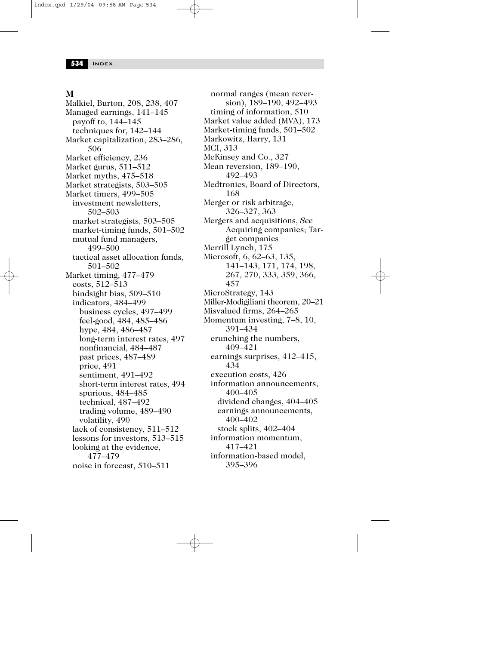#### **M**

Malkiel, Burton, 208, 238, 407 Managed earnings, 141–145 payoff to, 144–145 techniques for, 142–144 Market capitalization, 283–286, 506 Market efficiency, 236 Market gurus, 511–512 Market myths, 475–518 Market strategists, 503–505 Market timers, 499–505 investment newsletters, 502–503 market strategists, 503–505 market-timing funds, 501–502 mutual fund managers, 499–500 tactical asset allocation funds, 501–502 Market timing, 477–479 costs, 512–513 hindsight bias, 509–510 indicators, 484–499 business cycles, 497–499 feel-good, 484, 485–486 hype, 484, 486–487 long-term interest rates, 497 nonfinancial, 484–487 past prices, 487–489 price, 491 sentiment, 491–492 short-term interest rates, 494 spurious, 484–485 technical, 487–492 trading volume, 489–490 volatility, 490 lack of consistency, 511–512 lessons for investors, 513–515 looking at the evidence, 477–479 noise in forecast, 510–511

normal ranges (mean reversion), 189–190, 492–493 timing of information, 510 Market value added (MVA), 173 Market-timing funds, 501–502 Markowitz, Harry, 131 MCI, 313 McKinsey and Co., 327 Mean reversion, 189–190, 492–493 Medtronics, Board of Directors, 168 Merger or risk arbitrage, 326–327, 363 Mergers and acquisitions, *See* Acquiring companies; Target companies Merrill Lynch, 175 Microsoft, 6, 62–63, 135, 141–143, 171, 174, 198, 267, 270, 333, 359, 366, 457 MicroStrategy, 143 Miller-Modigiliani theorem, 20–21 Misvalued firms, 264–265 Momentum investing, 7–8, 10, 391–434 crunching the numbers, 409–421 earnings surprises, 412–415, 434 execution costs, 426 information announcements, 400–405 dividend changes, 404–405 earnings announcements, 400–402 stock splits, 402–404 information momentum, 417–421 information-based model, 395–396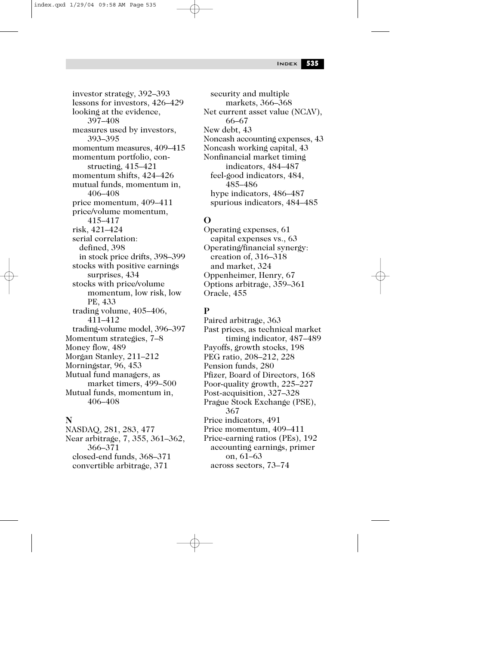lessons for investors, 426–429 looking at the evidence, 397–408 measures used by investors, 393–395 momentum measures, 409–415 momentum portfolio, constructing, 415–421 momentum shifts, 424–426 mutual funds, momentum in, 406–408 price momentum, 409–411 price/volume momentum, 415–417 risk, 421–424 serial correlation: defined, 398 in stock price drifts, 398–399 stocks with positive earnings surprises, 434 stocks with price/volume momentum, low risk, low PE, 433 trading volume, 405–406, 411–412 trading-volume model, 396–397 Momentum strategies, 7–8 Money flow, 489 Morgan Stanley, 211–212 Morningstar, 96, 453 Mutual fund managers, as market timers, 499–500 Mutual funds, momentum in, 406–408

investor strategy, 392–393

## **N**

NASDAQ, 281, 283, 477 Near arbitrage, 7, 355, 361–362, 366–371 closed-end funds, 368–371 convertible arbitrage, 371

security and multiple markets, 366–368 Net current asset value (NCAV), 66–67 New debt, 43 Noncash accounting expenses, 43 Noncash working capital, 43 Nonfinancial market timing indicators, 484–487 feel-good indicators, 484, 485–486 hype indicators, 486–487 spurious indicators, 484–485

## **O**

Operating expenses, 61 capital expenses vs., 63 Operating/financial synergy: creation of, 316–318 and market, 324 Oppenheimer, Henry, 67 Options arbitrage, 359–361 Oracle, 455

## **P**

Paired arbitrage, 363 Past prices, as technical market timing indicator, 487–489 Payoffs, growth stocks, 198 PEG ratio, 208–212, 228 Pension funds, 280 Pfizer, Board of Directors, 168 Poor-quality growth, 225–227 Post-acquisition, 327–328 Prague Stock Exchange (PSE), 367 Price indicators, 491 Price momentum, 409–411 Price-earning ratios (PEs), 192 accounting earnings, primer on, 61–63 across sectors, 73–74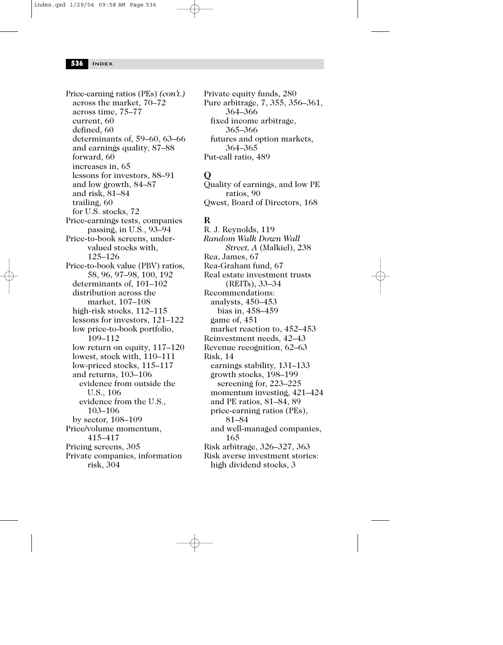Price-earning ratios (PEs) *(con't.)* across the market, 70–72 across time, 75–77 current, 60 defined, 60 determinants of, 59–60, 63–66 and earnings quality, 87–88 forward, 60 increases in, 65 lessons for investors, 88–91 and low growth, 84–87 and risk, 81–84 trailing, 60 for U.S. stocks, 72 Price-earnings tests, companies passing, in U.S., 93–94 Price-to-book screens, undervalued stocks with, 125–126 Price-to-book value (PBV) ratios, 58, 96, 97–98, 100, 192 determinants of, 101–102 distribution across the market, 107–108 high-risk stocks, 112–115 lessons for investors, 121–122 low price-to-book portfolio, 109–112 low return on equity, 117–120 lowest, stock with, 110–111 low-priced stocks, 115–117 and returns, 103–106 evidence from outside the U.S., 106 evidence from the U.S., 103–106 by sector, 108–109 Price/volume momentum, 415–417 Pricing screens, 305 Private companies, information risk, 304

Private equity funds, 280 Pure arbitrage, 7, 355, 356–361, 364–366 fixed income arbitrage, 365–366 futures and option markets, 364–365 Put-call ratio, 489

#### **Q**

Quality of earnings, and low PE ratios, 90 Qwest, Board of Directors, 168

### **R**

R. J. Reynolds, 119 *Random Walk Down Wall Street, A* (Malkiel), 238 Rea, James, 67 Rea-Graham fund, 67 Real estate investment trusts (REITs), 33–34 Recommendations: analysts, 450–453 bias in, 458–459 game of, 451 market reaction to, 452–453 Reinvestment needs, 42–43 Revenue recognition, 62–63 Risk, 14 earnings stability, 131–133 growth stocks, 198–199 screening for, 223–225 momentum investing, 421–424 and PE ratios, 81–84, 89 price-earning ratios (PEs), 81–84 and well-managed companies, 165 Risk arbitrage, 326–327, 363 Risk averse investment stories: high dividend stocks, 3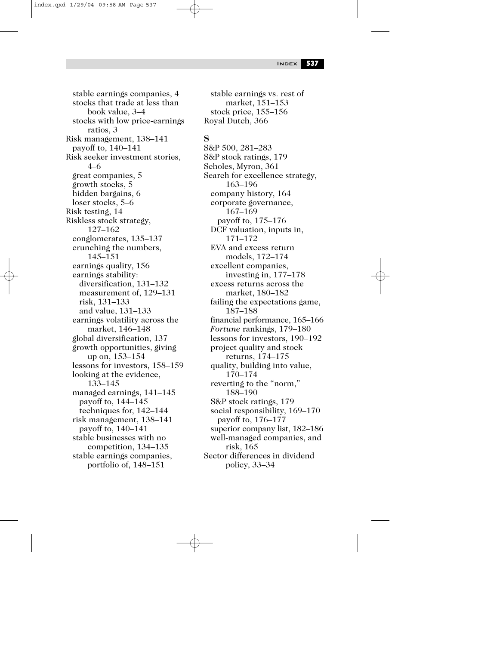stable earnings companies, 4 stocks that trade at less than book value, 3–4 stocks with low price-earnings ratios, 3 Risk management, 138–141 payoff to, 140–141 Risk seeker investment stories, 4–6 great companies, 5 growth stocks, 5 hidden bargains, 6 loser stocks, 5–6 Risk testing, 14 Riskless stock strategy, 127–162 conglomerates, 135–137 crunching the numbers, 145–151 earnings quality, 156 earnings stability: diversification, 131–132 measurement of, 129–131 risk, 131–133 and value, 131–133 earnings volatility across the market, 146–148 global diversification, 137 growth opportunities, giving up on, 153–154 lessons for investors, 158–159 looking at the evidence, 133–145 managed earnings, 141–145 payoff to, 144–145 techniques for, 142–144 risk management, 138–141 payoff to, 140–141 stable businesses with no competition, 134–135 stable earnings companies, portfolio of, 148–151

#### stable earnings vs. rest of market, 151–153 stock price, 155–156 Royal Dutch, 366

#### **S**

S&P 500, 281–283 S&P stock ratings, 179 Scholes, Myron, 361 Search for excellence strategy, 163–196 company history, 164 corporate governance, 167–169 payoff to, 175–176 DCF valuation, inputs in, 171–172 EVA and excess return models, 172–174 excellent companies, investing in, 177–178 excess returns across the market, 180–182 failing the expectations game, 187–188 financial performance, 165–166 *Fortune* rankings, 179–180 lessons for investors, 190–192 project quality and stock returns, 174–175 quality, building into value, 170–174 reverting to the "norm," 188–190 S&P stock ratings, 179 social responsibility, 169–170 payoff to, 176–177 superior company list, 182–186 well-managed companies, and risk, 165 Sector differences in dividend policy, 33–34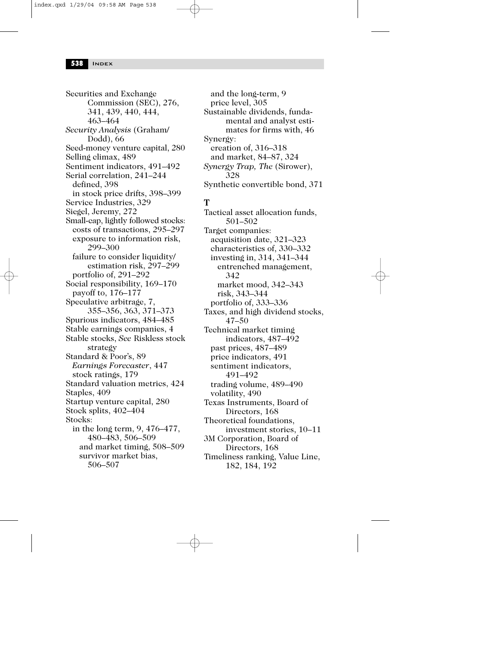Securities and Exchange Commission (SEC), 276, 341, 439, 440, 444, 463–464 *Security Analysis* (Graham/ Dodd), 66 Seed-money venture capital, 280 Selling climax, 489 Sentiment indicators, 491–492 Serial correlation, 241–244 defined, 398 in stock price drifts, 398–399 Service Industries, 329 Siegel, Jeremy, 272 Small-cap, lightly followed stocks: costs of transactions, 295–297 exposure to information risk, 299–300 failure to consider liquidity/ estimation risk, 297–299 portfolio of, 291–292 Social responsibility, 169–170 payoff to, 176–177 Speculative arbitrage, 7, 355–356, 363, 371–373 Spurious indicators, 484–485 Stable earnings companies, 4 Stable stocks, *See* Riskless stock strategy Standard & Poor's, 89 *Earnings Forecaster*, 447 stock ratings, 179 Standard valuation metrics, 424 Staples, 409 Startup venture capital, 280 Stock splits, 402–404 Stocks: in the long term, 9, 476–477, 480–483, 506–509 and market timing, 508–509 survivor market bias, 506–507

and the long-term, 9 price level, 305 Sustainable dividends, fundamental and analyst estimates for firms with, 46 Synergy: creation of, 316–318 and market, 84–87, 324 *Synergy Trap, The* (Sirower), 328 Synthetic convertible bond, 371

#### **T**

Tactical asset allocation funds, 501–502 Target companies: acquisition date, 321–323 characteristics of, 330–332 investing in, 314, 341–344 entrenched management, 342 market mood, 342–343 risk, 343–344 portfolio of, 333–336 Taxes, and high dividend stocks, 47–50 Technical market timing indicators, 487–492 past prices, 487–489 price indicators, 491 sentiment indicators, 491–492 trading volume, 489–490 volatility, 490 Texas Instruments, Board of Directors, 168 Theoretical foundations, investment stories, 10–11 3M Corporation, Board of Directors, 168 Timeliness ranking, Value Line, 182, 184, 192